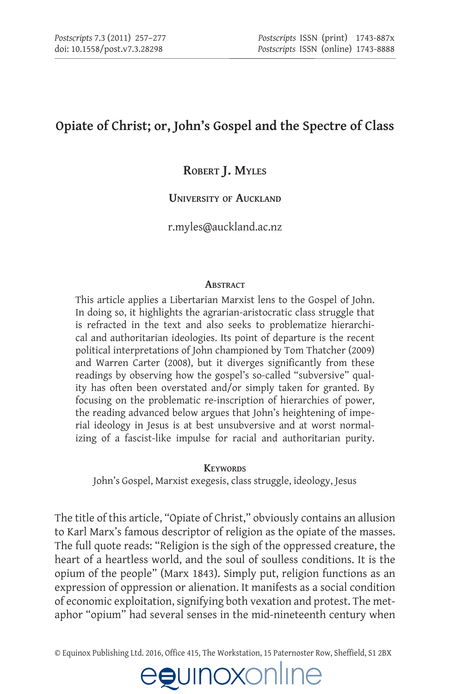# **Opiate of Christ; or, John's Gospel and the Spectre of Class**

# **Robert J. Myles**

#### **University of Auckland**

[r.myles@auckland.ac.nz](mailto:r.myles@auckland.ac.nz)

#### **ABSTRACT**

This article applies a Libertarian Marxist lens to the Gospel of John. In doing so, it highlights the agrarian-aristocratic class struggle that is refracted in the text and also seeks to problematize hierarchical and authoritarian ideologies. Its point of departure is the recent political interpretations of John championed by Tom Thatcher (2009) and Warren Carter (2008), but it diverges significantly from these readings by observing how the gospel's so-called "subversive" quality has often been overstated and/or simply taken for granted. By focusing on the problematic re-inscription of hierarchies of power, the reading advanced below argues that John's heightening of imperial ideology in Jesus is at best unsubversive and at worst normalizing of a fascist-like impulse for racial and authoritarian purity.

#### **Keywords**

John's Gospel, Marxist exegesis, class struggle, ideology, Jesus

The title of this article, "Opiate of Christ," obviously contains an allusion to Karl Marx's famous descriptor of religion as the opiate of the masses. The full quote reads: "Religion is the sigh of the oppressed creature, the heart of a heartless world, and the soul of soulless conditions. It is the opium of the people" (Marx 1843). Simply put, religion functions as an expression of oppression or alienation. It manifests as a social condition of economic exploitation, signifying both vexation and protest. The metaphor "opium" had several senses in the mid-nineteenth century when

© Equinox Publishing Ltd. 2016, Office 415, The Workstation, 15 Paternoster Row, Sheffield, S1 2BX

# egunoxonlu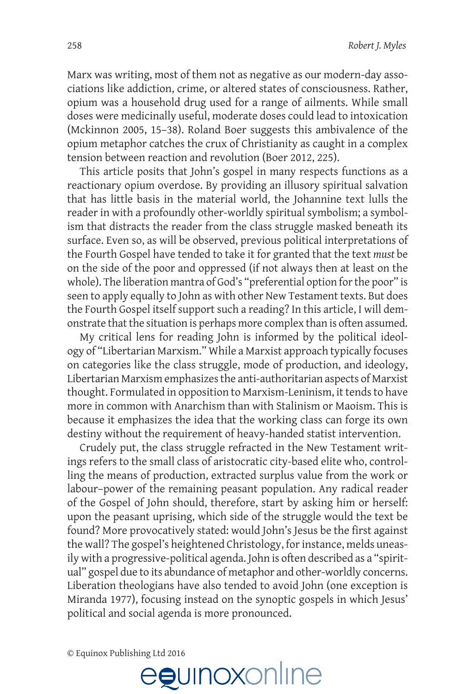Marx was writing, most of them not as negative as our modern-day associations like addiction, crime, or altered states of consciousness. Rather, opium was a household drug used for a range of ailments. While small doses were medicinally useful, moderate doses could lead to intoxication (Mckinnon 2005, 15–38). Roland Boer suggests this ambivalence of the opium metaphor catches the crux of Christianity as caught in a complex tension between reaction and revolution (Boer 2012, 225).

This article posits that John's gospel in many respects functions as a reactionary opium overdose. By providing an illusory spiritual salvation that has little basis in the material world, the Johannine text lulls the reader in with a profoundly other-worldly spiritual symbolism; a symbolism that distracts the reader from the class struggle masked beneath its surface. Even so, as will be observed, previous political interpretations of the Fourth Gospel have tended to take it for granted that the text *must* be on the side of the poor and oppressed (if not always then at least on the whole). The liberation mantra of God's "preferential option for the poor" is seen to apply equally to John as with other New Testament texts. But does the Fourth Gospel itself support such a reading? In this article, I will demonstrate that the situation is perhaps more complex than is often assumed.

My critical lens for reading John is informed by the political ideology of "Libertarian Marxism." While a Marxist approach typically focuses on categories like the class struggle, mode of production, and ideology, Libertarian Marxism emphasizes the anti-authoritarian aspects of Marxist thought. Formulated in opposition to Marxism-Leninism, it tends to have more in common with Anarchism than with Stalinism or Maoism. This is because it emphasizes the idea that the working class can forge its own destiny without the requirement of heavy-handed statist intervention.

Crudely put, the class struggle refracted in the New Testament writings refers to the small class of aristocratic city-based elite who, controlling the means of production, extracted surplus value from the work or labour–power of the remaining peasant population. Any radical reader of the Gospel of John should, therefore, start by asking him or herself: upon the peasant uprising, which side of the struggle would the text be found? More provocatively stated: would John's Jesus be the first against the wall? The gospel's heightened Christology, for instance, melds uneasily with a progressive-political agenda. John is often described as a "spiritual" gospel due to its abundance of metaphor and other-worldly concerns. Liberation theologians have also tended to avoid John (one exception is Miranda 1977), focusing instead on the synoptic gospels in which Jesus' political and social agenda is more pronounced.

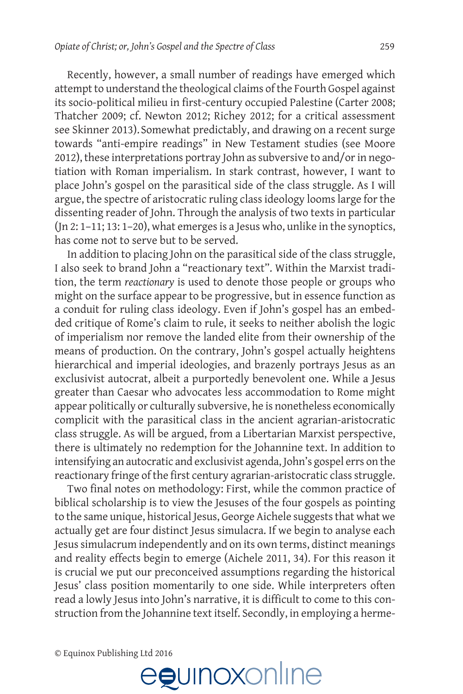Recently, however, a small number of readings have emerged which attempt to understand the theological claims of the Fourth Gospel against its socio-political milieu in first-century occupied Palestine (Carter 2008; Thatcher 2009; cf. Newton 2012; Richey 2012; for a critical assessment see Skinner 2013).Somewhat predictably, and drawing on a recent surge towards "anti-empire readings" in New Testament studies (see Moore 2012), these interpretations portray John as subversive to and/or in negotiation with Roman imperialism. In stark contrast, however, I want to place John's gospel on the parasitical side of the class struggle. As I will argue, the spectre of aristocratic ruling class ideology looms large for the dissenting reader of John. Through the analysis of two texts in particular (Jn 2: 1–11; 13: 1–20), what emerges is a Jesus who, unlike in the synoptics, has come not to serve but to be served.

In addition to placing John on the parasitical side of the class struggle, I also seek to brand John a "reactionary text". Within the Marxist tradition, the term *reactionary* is used to denote those people or groups who might on the surface appear to be progressive, but in essence function as a conduit for ruling class ideology. Even if John's gospel has an embedded critique of Rome's claim to rule, it seeks to neither abolish the logic of imperialism nor remove the landed elite from their ownership of the means of production. On the contrary, John's gospel actually heightens hierarchical and imperial ideologies, and brazenly portrays Jesus as an exclusivist autocrat, albeit a purportedly benevolent one. While a Jesus greater than Caesar who advocates less accommodation to Rome might appear politically or culturally subversive, he is nonetheless economically complicit with the parasitical class in the ancient agrarian-aristocratic class struggle. As will be argued, from a Libertarian Marxist perspective, there is ultimately no redemption for the Johannine text. In addition to intensifying an autocratic and exclusivist agenda, John's gospel errs on the reactionary fringe of the first century agrarian-aristocratic class struggle.

Two final notes on methodology: First, while the common practice of biblical scholarship is to view the Jesuses of the four gospels as pointing to the same unique, historical Jesus, George Aichele suggests that what we actually get are four distinct Jesus simulacra. If we begin to analyse each Jesus simulacrum independently and on its own terms, distinct meanings and reality effects begin to emerge (Aichele 2011, 34). For this reason it is crucial we put our preconceived assumptions regarding the historical Jesus' class position momentarily to one side. While interpreters often read a lowly Jesus into John's narrative, it is difficult to come to this construction from the Johannine text itself. Secondly, in employing a herme-

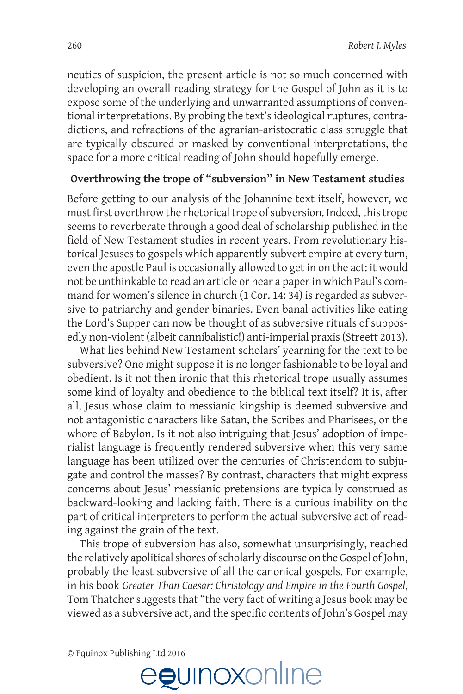neutics of suspicion, the present article is not so much concerned with developing an overall reading strategy for the Gospel of John as it is to expose some of the underlying and unwarranted assumptions of conventional interpretations. By probing the text's ideological ruptures, contradictions, and refractions of the agrarian-aristocratic class struggle that are typically obscured or masked by conventional interpretations, the space for a more critical reading of John should hopefully emerge.

## **Overthrowing the trope of "subversion" in New Testament studies**

Before getting to our analysis of the Johannine text itself, however, we must first overthrow the rhetorical trope of subversion. Indeed, this trope seems to reverberate through a good deal of scholarship published in the field of New Testament studies in recent years. From revolutionary historical Jesuses to gospels which apparently subvert empire at every turn, even the apostle Paul is occasionally allowed to get in on the act: it would not be unthinkable to read an article or hear a paper in which Paul's command for women's silence in church (1 Cor. 14: 34) is regarded as subversive to patriarchy and gender binaries. Even banal activities like eating the Lord's Supper can now be thought of as subversive rituals of supposedly non-violent (albeit cannibalistic!) anti-imperial praxis (Streett 2013).

What lies behind New Testament scholars' yearning for the text to be subversive? One might suppose it is no longer fashionable to be loyal and obedient. Is it not then ironic that this rhetorical trope usually assumes some kind of loyalty and obedience to the biblical text itself? It is, after all, Jesus whose claim to messianic kingship is deemed subversive and not antagonistic characters like Satan, the Scribes and Pharisees, or the whore of Babylon. Is it not also intriguing that Jesus' adoption of imperialist language is frequently rendered subversive when this very same language has been utilized over the centuries of Christendom to subjugate and control the masses? By contrast, characters that might express concerns about Jesus' messianic pretensions are typically construed as backward-looking and lacking faith. There is a curious inability on the part of critical interpreters to perform the actual subversive act of reading against the grain of the text.

This trope of subversion has also, somewhat unsurprisingly, reached the relatively apolitical shores of scholarly discourse on the Gospel of John, probably the least subversive of all the canonical gospels. For example, in his book *Greater Than Caesar: Christology and Empire in the Fourth Gospel*, Tom Thatcher suggests that "the very fact of writing a Jesus book may be viewed as a subversive act, and the specific contents of John's Gospel may

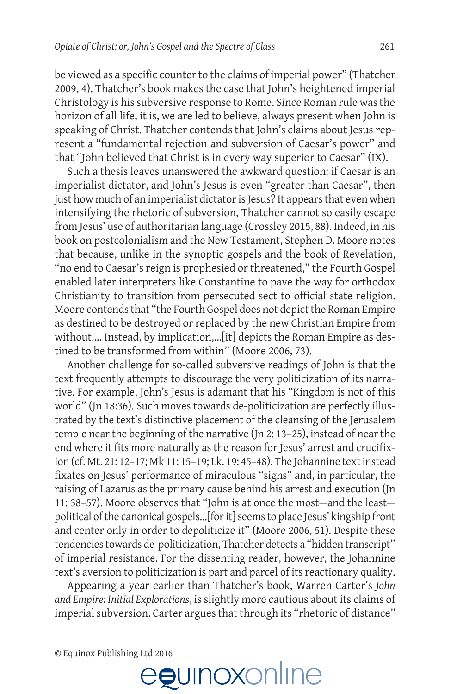be viewed as a specific counter to the claims of imperial power" (Thatcher 2009, 4). Thatcher's book makes the case that John's heightened imperial Christology is his subversive response to Rome. Since Roman rule was the horizon of all life, it is, we are led to believe, always present when John is speaking of Christ. Thatcher contends that John's claims about Jesus represent a "fundamental rejection and subversion of Caesar's power" and that "John believed that Christ is in every way superior to Caesar" (IX).

Such a thesis leaves unanswered the awkward question: if Caesar is an imperialist dictator, and John's Jesus is even "greater than Caesar", then just how much of an imperialist dictator is Jesus? It appears that even when intensifying the rhetoric of subversion, Thatcher cannot so easily escape from Jesus' use of authoritarian language (Crossley 2015, 88). Indeed, in his book on postcolonialism and the New Testament, Stephen D. Moore notes that because, unlike in the synoptic gospels and the book of Revelation, "no end to Caesar's reign is prophesied or threatened," the Fourth Gospel enabled later interpreters like Constantine to pave the way for orthodox Christianity to transition from persecuted sect to official state religion. Moore contends that "the Fourth Gospel does not depict the Roman Empire as destined to be destroyed or replaced by the new Christian Empire from without.... Instead, by implication,... [it] depicts the Roman Empire as destined to be transformed from within" (Moore 2006, 73).

Another challenge for so-called subversive readings of John is that the text frequently attempts to discourage the very politicization of its narrative. For example, John's Jesus is adamant that his "Kingdom is not of this world" (Jn 18:36). Such moves towards de-politicization are perfectly illustrated by the text's distinctive placement of the cleansing of the Jerusalem temple near the beginning of the narrative (Jn 2: 13–25), instead of near the end where it fits more naturally as the reason for Jesus' arrest and crucifixion (cf. Mt. 21: 12–17; Mk 11: 15–19; Lk. 19: 45–48). The Johannine text instead fixates on Jesus' performance of miraculous "signs" and, in particular, the raising of Lazarus as the primary cause behind his arrest and execution (Jn 11: 38–57). Moore observes that "John is at once the most—and the least political of the canonical gospels…[for it] seems to place Jesus' kingship front and center only in order to depoliticize it" (Moore 2006, 51). Despite these tendencies towards de-politicization, Thatcher detects a "hidden transcript" of imperial resistance. For the dissenting reader, however, the Johannine text's aversion to politicization is part and parcel of its reactionary quality.

Appearing a year earlier than Thatcher's book, Warren Carter's *John and Empire: Initial Explorations*, is slightly more cautious about its claims of imperial subversion. Carter argues that through its "rhetoric of distance"

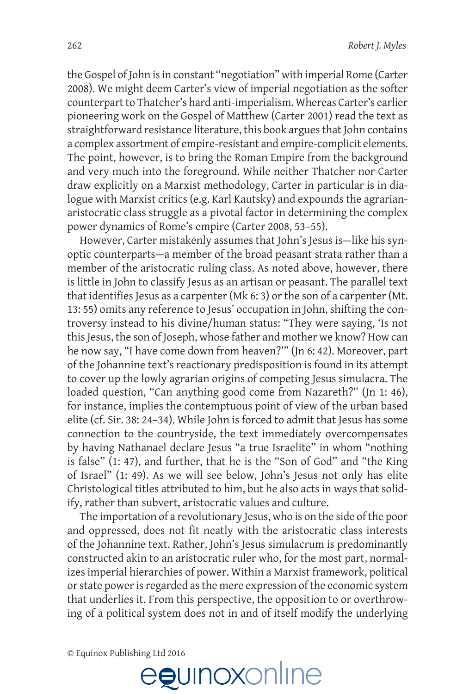the Gospel of John is in constant "negotiation" with imperial Rome (Carter 2008). We might deem Carter's view of imperial negotiation as the softer counterpart to Thatcher's hard anti-imperialism. Whereas Carter's earlier pioneering work on the Gospel of Matthew (Carter 2001) read the text as straightforward resistance literature, this book argues that John contains a complex assortment of empire-resistant and empire-complicit elements. The point, however, is to bring the Roman Empire from the background and very much into the foreground. While neither Thatcher nor Carter draw explicitly on a Marxist methodology, Carter in particular is in dialogue with Marxist critics (e.g. Karl Kautsky) and expounds the agrarianaristocratic class struggle as a pivotal factor in determining the complex power dynamics of Rome's empire (Carter 2008, 53–55).

However, Carter mistakenly assumes that John's Jesus is—like his synoptic counterparts—a member of the broad peasant strata rather than a member of the aristocratic ruling class. As noted above, however, there is little in John to classify Jesus as an artisan or peasant. The parallel text that identifies Jesus as a carpenter (Mk 6: 3) or the son of a carpenter (Mt. 13: 55) omits any reference to Jesus' occupation in John, shifting the controversy instead to his divine/human status: "They were saying, 'Is not this Jesus, the son of Joseph, whose father and mother we know? How can he now say, "I have come down from heaven?'" (Jn 6: 42). Moreover, part of the Johannine text's reactionary predisposition is found in its attempt to cover up the lowly agrarian origins of competing Jesus simulacra. The loaded question, "Can anything good come from Nazareth?" (Jn 1: 46), for instance, implies the contemptuous point of view of the urban based elite (cf. Sir. 38: 24–34). While John is forced to admit that Jesus has some connection to the countryside, the text immediately overcompensates by having Nathanael declare Jesus "a true Israelite" in whom "nothing is false" (1: 47), and further, that he is the "Son of God" and "the King of Israel" (1: 49). As we will see below, John's Jesus not only has elite Christological titles attributed to him, but he also acts in ways that solidify, rather than subvert, aristocratic values and culture.

The importation of a revolutionary Jesus, who is on the side of the poor and oppressed, does not fit neatly with the aristocratic class interests of the Johannine text. Rather, John's Jesus simulacrum is predominantly constructed akin to an aristocratic ruler who, for the most part, normalizes imperial hierarchies of power. Within a Marxist framework, political or state power is regarded as the mere expression of the economic system that underlies it. From this perspective, the opposition to or overthrowing of a political system does not in and of itself modify the underlying

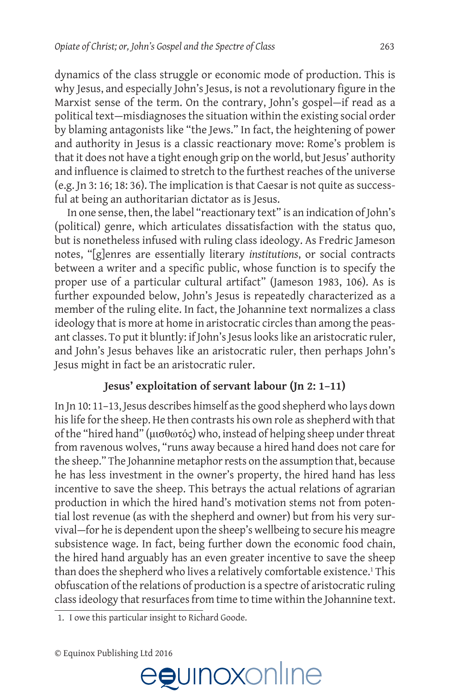dynamics of the class struggle or economic mode of production. This is why Jesus, and especially John's Jesus, is not a revolutionary figure in the Marxist sense of the term. On the contrary, John's gospel—if read as a political text—misdiagnoses the situation within the existing social order by blaming antagonists like "the Jews." In fact, the heightening of power and authority in Jesus is a classic reactionary move: Rome's problem is that it does not have a tight enough grip on the world, but Jesus' authority and influence is claimed to stretch to the furthest reaches of the universe (e.g. Jn 3: 16; 18: 36). The implication is that Caesar is not quite as successful at being an authoritarian dictator as is Jesus.

In one sense, then, the label "reactionary text" is an indication of John's (political) genre, which articulates dissatisfaction with the status quo, but is nonetheless infused with ruling class ideology. As Fredric Jameson notes, "[g]enres are essentially literary *institutions*, or social contracts between a writer and a specific public, whose function is to specify the proper use of a particular cultural artifact" (Jameson 1983, 106). As is further expounded below, John's Jesus is repeatedly characterized as a member of the ruling elite. In fact, the Johannine text normalizes a class ideology that is more at home in aristocratic circles than among the peasant classes. To put it bluntly: if John's Jesus looks like an aristocratic ruler, and John's Jesus behaves like an aristocratic ruler, then perhaps John's Jesus might in fact be an aristocratic ruler.

# **Jesus' exploitation of servant labour (Jn 2: 1–11)**

In Jn 10: 11–13, Jesus describes himself as the good shepherd who lays down his life for the sheep. He then contrasts his own role as shepherd with that of the "hired hand" (μισθωτός) who, instead of helping sheep under threat from ravenous wolves, "runs away because a hired hand does not care for the sheep." The Johannine metaphor rests on the assumption that, because he has less investment in the owner's property, the hired hand has less incentive to save the sheep. This betrays the actual relations of agrarian production in which the hired hand's motivation stems not from potential lost revenue (as with the shepherd and owner) but from his very survival—for he is dependent upon the sheep's wellbeing to secure his meagre subsistence wage. In fact, being further down the economic food chain, the hired hand arguably has an even greater incentive to save the sheep than does the shepherd who lives a relatively comfortable existence.<sup>1</sup> This obfuscation of the relations of production is a spectre of aristocratic ruling class ideology that resurfaces from time to time within the Johannine text.

1. I owe this particular insight to Richard Goode.

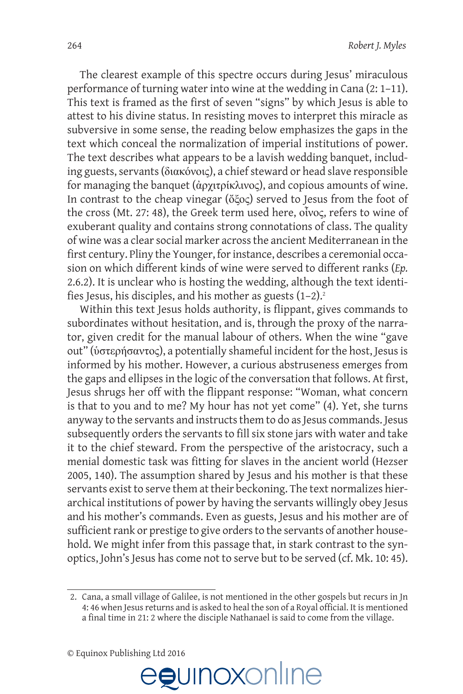The clearest example of this spectre occurs during Jesus' miraculous performance of turning water into wine at the wedding in Cana (2: 1–11). This text is framed as the first of seven "signs" by which Jesus is able to attest to his divine status. In resisting moves to interpret this miracle as subversive in some sense, the reading below emphasizes the gaps in the text which conceal the normalization of imperial institutions of power. The text describes what appears to be a lavish wedding banquet, including guests, servants (διακόνοις), a chief steward or head slave responsible for managing the banquet (ἀρχιτρίκλινος), and copious amounts of wine. In contrast to the cheap vinegar (ὄξος) served to Jesus from the foot of the cross (Mt. 27: 48), the Greek term used here, οἶνος, refers to wine of exuberant quality and contains strong connotations of class. The quality of wine was a clear social marker across the ancient Mediterranean in the first century. Pliny the Younger, for instance, describes a ceremonial occasion on which different kinds of wine were served to different ranks (*Ep.*  2.6.2). It is unclear who is hosting the wedding, although the text identifies Jesus, his disciples, and his mother as guests  $(1-2)^2$ .

Within this text Jesus holds authority, is flippant, gives commands to subordinates without hesitation, and is, through the proxy of the narrator, given credit for the manual labour of others. When the wine "gave out" (ὑστερήσαντος), a potentially shameful incident for the host, Jesus is informed by his mother. However, a curious abstruseness emerges from the gaps and ellipses in the logic of the conversation that follows. At first, Jesus shrugs her off with the flippant response: "Woman, what concern is that to you and to me? My hour has not yet come" (4). Yet, she turns anyway to the servants and instructs them to do as Jesus commands. Jesus subsequently orders the servants to fill six stone jars with water and take it to the chief steward. From the perspective of the aristocracy, such a menial domestic task was fitting for slaves in the ancient world (Hezser 2005, 140). The assumption shared by Jesus and his mother is that these servants exist to serve them at their beckoning. The text normalizes hierarchical institutions of power by having the servants willingly obey Jesus and his mother's commands. Even as guests, Jesus and his mother are of sufficient rank or prestige to give orders to the servants of another household. We might infer from this passage that, in stark contrast to the synoptics, John's Jesus has come not to serve but to be served (cf. Mk. 10: 45).



<sup>2.</sup> Cana, a small village of Galilee, is not mentioned in the other gospels but recurs in Jn 4: 46 when Jesus returns and is asked to heal the son of a Royal official. It is mentioned a final time in 21: 2 where the disciple Nathanael is said to come from the village.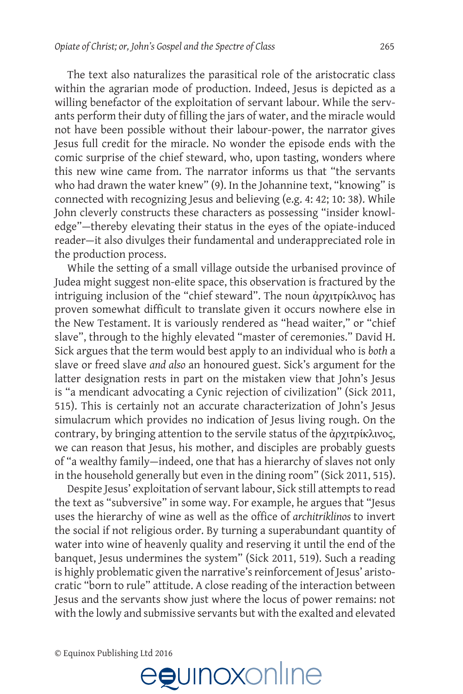The text also naturalizes the parasitical role of the aristocratic class within the agrarian mode of production. Indeed, Jesus is depicted as a willing benefactor of the exploitation of servant labour. While the servants perform their duty of filling the jars of water, and the miracle would not have been possible without their labour-power, the narrator gives Jesus full credit for the miracle. No wonder the episode ends with the comic surprise of the chief steward, who, upon tasting, wonders where this new wine came from. The narrator informs us that "the servants who had drawn the water knew" (9). In the Johannine text, "knowing" is connected with recognizing Jesus and believing (e.g. 4: 42; 10: 38). While John cleverly constructs these characters as possessing "insider knowledge"—thereby elevating their status in the eyes of the opiate-induced reader—it also divulges their fundamental and underappreciated role in the production process.

While the setting of a small village outside the urbanised province of Judea might suggest non-elite space, this observation is fractured by the intriguing inclusion of the "chief steward". The noun ἀρχιτρίκλινος has proven somewhat difficult to translate given it occurs nowhere else in the New Testament. It is variously rendered as "head waiter," or "chief slave", through to the highly elevated "master of ceremonies." David H. Sick argues that the term would best apply to an individual who is *both* a slave or freed slave *and also* an honoured guest. Sick's argument for the latter designation rests in part on the mistaken view that John's Jesus is "a mendicant advocating a Cynic rejection of civilization" (Sick 2011, 515). This is certainly not an accurate characterization of John's Jesus simulacrum which provides no indication of Jesus living rough. On the contrary, by bringing attention to the servile status of the ἀρχιτρίκλινος, we can reason that Jesus, his mother, and disciples are probably guests of "a wealthy family—indeed, one that has a hierarchy of slaves not only in the household generally but even in the dining room" (Sick 2011, 515).

Despite Jesus' exploitation of servant labour, Sick still attempts to read the text as "subversive" in some way. For example, he argues that "Jesus uses the hierarchy of wine as well as the office of *architriklinos* to invert the social if not religious order. By turning a superabundant quantity of water into wine of heavenly quality and reserving it until the end of the banquet, Jesus undermines the system" (Sick 2011, 519). Such a reading is highly problematic given the narrative's reinforcement of Jesus' aristocratic "born to rule" attitude. A close reading of the interaction between Jesus and the servants show just where the locus of power remains: not with the lowly and submissive servants but with the exalted and elevated

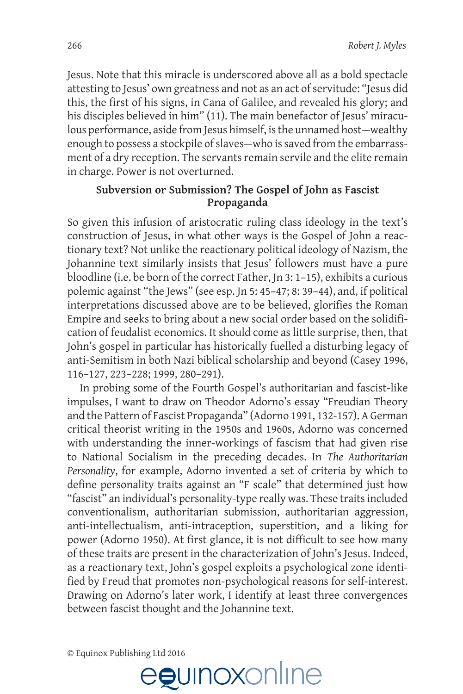Jesus. Note that this miracle is underscored above all as a bold spectacle attesting to Jesus' own greatness and not as an act of servitude: "Jesus did this, the first of his signs, in Cana of Galilee, and revealed his glory; and his disciples believed in him" (11). The main benefactor of Jesus' miraculous performance, aside from Jesus himself, is the unnamed host—wealthy enough to possess a stockpile of slaves—who is saved from the embarrassment of a dry reception. The servants remain servile and the elite remain in charge. Power is not overturned.

## **Subversion or Submission? The Gospel of John as Fascist Propaganda**

So given this infusion of aristocratic ruling class ideology in the text's construction of Jesus, in what other ways is the Gospel of John a reactionary text? Not unlike the reactionary political ideology of Nazism, the Johannine text similarly insists that Jesus' followers must have a pure bloodline (i.e. be born of the correct Father, Jn 3: 1–15), exhibits a curious polemic against "the Jews" (see esp. Jn 5: 45–47; 8: 39–44), and, if political interpretations discussed above are to be believed, glorifies the Roman Empire and seeks to bring about a new social order based on the solidification of feudalist economics. It should come as little surprise, then, that John's gospel in particular has historically fuelled a disturbing legacy of anti-Semitism in both Nazi biblical scholarship and beyond (Casey 1996, 116–127, 223–228; 1999, 280–291).

In probing some of the Fourth Gospel's authoritarian and fascist-like impulses, I want to draw on Theodor Adorno's essay "Freudian Theory and the Pattern of Fascist Propaganda" (Adorno 1991, 132-157). A German critical theorist writing in the 1950s and 1960s, Adorno was concerned with understanding the inner-workings of fascism that had given rise to National Socialism in the preceding decades. In *The Authoritarian Personality*, for example, Adorno invented a set of criteria by which to define personality traits against an "F scale" that determined just how "fascist" an individual's personality-type really was. These traits included conventionalism, authoritarian submission, authoritarian aggression, anti-intellectualism, anti-intraception, superstition, and a liking for power (Adorno 1950). At first glance, it is not difficult to see how many of these traits are present in the characterization of John's Jesus. Indeed, as a reactionary text, John's gospel exploits a psychological zone identified by Freud that promotes non-psychological reasons for self-interest. Drawing on Adorno's later work, I identify at least three convergences between fascist thought and the Johannine text.

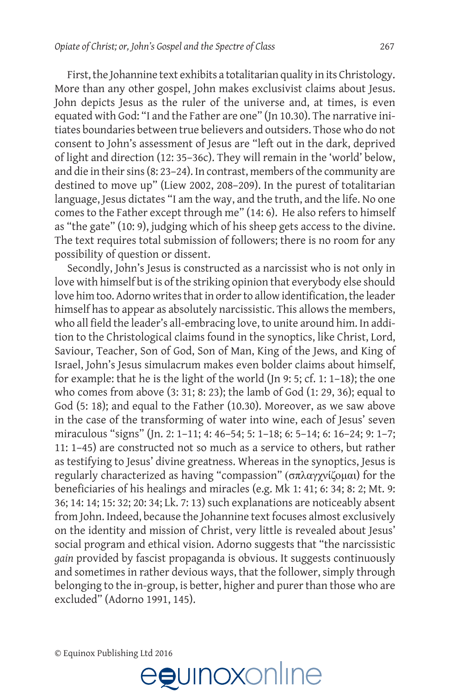First, the Johannine text exhibits a totalitarian quality in its Christology. More than any other gospel, John makes exclusivist claims about Jesus. John depicts Jesus as the ruler of the universe and, at times, is even equated with God: "I and the Father are one" (Jn 10.30). The narrative initiates boundaries between true believers and outsiders. Those who do not consent to John's assessment of Jesus are "left out in the dark, deprived of light and direction (12: 35–36c). They will remain in the 'world' below, and die in their sins (8: 23–24). In contrast, members of the community are destined to move up" (Liew 2002, 208–209). In the purest of totalitarian language, Jesus dictates "I am the way, and the truth, and the life. No one comes to the Father except through me" (14: 6). He also refers to himself as "the gate" (10: 9), judging which of his sheep gets access to the divine. The text requires total submission of followers; there is no room for any possibility of question or dissent.

Secondly, John's Jesus is constructed as a narcissist who is not only in love with himself but is of the striking opinion that everybody else should love him too. Adorno writes that in order to allow identification, the leader himself has to appear as absolutely narcissistic. This allows the members, who all field the leader's all-embracing love, to unite around him. In addition to the Christological claims found in the synoptics, like Christ, Lord, Saviour, Teacher, Son of God, Son of Man, King of the Jews, and King of Israel, John's Jesus simulacrum makes even bolder claims about himself, for example: that he is the light of the world (Jn 9: 5; cf. 1: 1–18); the one who comes from above (3: 31; 8: 23); the lamb of God (1: 29, 36); equal to God (5: 18); and equal to the Father (10.30). Moreover, as we saw above in the case of the transforming of water into wine, each of Jesus' seven miraculous "signs" (Jn. 2: 1–11; 4: 46–54; 5: 1–18; 6: 5–14; 6: 16–24; 9: 1–7; 11: 1–45) are constructed not so much as a service to others, but rather as testifying to Jesus' divine greatness. Whereas in the synoptics, Jesus is regularly characterized as having "compassion" (σπλαγχνίζομαι) for the beneficiaries of his healings and miracles (e.g. Mk 1: 41; 6: 34; 8: 2; Mt. 9: 36; 14: 14; 15: 32; 20: 34; Lk. 7: 13) such explanations are noticeably absent from John. Indeed, because the Johannine text focuses almost exclusively on the identity and mission of Christ, very little is revealed about Jesus' social program and ethical vision. Adorno suggests that "the narcissistic *gain* provided by fascist propaganda is obvious. It suggests continuously and sometimes in rather devious ways, that the follower, simply through belonging to the in-group, is better, higher and purer than those who are excluded" (Adorno 1991, 145).

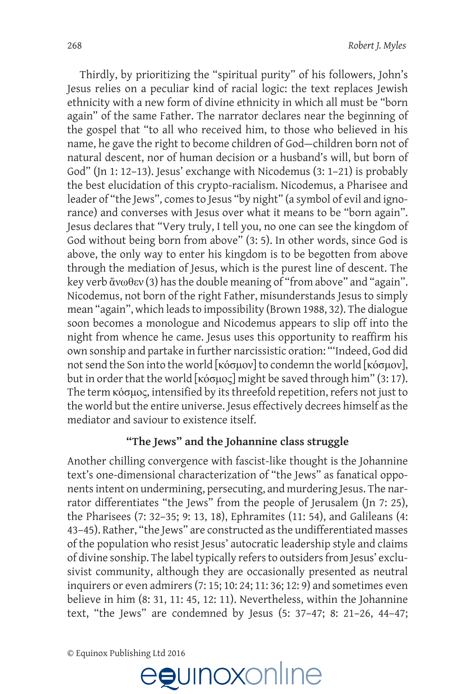Thirdly, by prioritizing the "spiritual purity" of his followers, John's Jesus relies on a peculiar kind of racial logic: the text replaces Jewish ethnicity with a new form of divine ethnicity in which all must be "born again" of the same Father. The narrator declares near the beginning of the gospel that "to all who received him, to those who believed in his name, he gave the right to become children of God—children born not of natural descent, nor of human decision or a husband's will, but born of God" (Jn 1: 12–13). Jesus' exchange with Nicodemus (3: 1–21) is probably the best elucidation of this crypto-racialism. Nicodemus, a Pharisee and leader of "the Jews", comes to Jesus "by night" (a symbol of evil and ignorance) and converses with Jesus over what it means to be "born again". Jesus declares that "Very truly, I tell you, no one can see the kingdom of God without being born from above" (3: 5). In other words, since God is above, the only way to enter his kingdom is to be begotten from above through the mediation of Jesus, which is the purest line of descent. The key verb ἄνωθεν (3) has the double meaning of "from above" and "again". Nicodemus, not born of the right Father, misunderstands Jesus to simply mean "again", which leads to impossibility (Brown 1988, 32). The dialogue soon becomes a monologue and Nicodemus appears to slip off into the night from whence he came. Jesus uses this opportunity to reaffirm his own sonship and partake in further narcissistic oration: "'Indeed, God did not send the Son into the world [κόσμον] to condemn the world [κόσμον], but in order that the world [κόσμος] might be saved through him" (3: 17). The term κόσμος, intensified by its threefold repetition, refers not just to the world but the entire universe. Jesus effectively decrees himself as the mediator and saviour to existence itself.

# **"The Jews" and the Johannine class struggle**

Another chilling convergence with fascist-like thought is the Johannine text's one-dimensional characterization of "the Jews" as fanatical opponents intent on undermining, persecuting, and murdering Jesus. The narrator differentiates "the Jews" from the people of Jerusalem (Jn 7: 25), the Pharisees (7: 32–35; 9: 13, 18), Ephramites (11: 54), and Galileans (4: 43–45). Rather, "the Jews" are constructed as the undifferentiated masses of the population who resist Jesus' autocratic leadership style and claims of divine sonship. The label typically refers to outsiders from Jesus' exclusivist community, although they are occasionally presented as neutral inquirers or even admirers (7: 15; 10: 24; 11: 36; 12: 9) and sometimes even believe in him (8: 31, 11: 45, 12: 11). Nevertheless, within the Johannine text, "the Jews" are condemned by Jesus (5: 37–47; 8: 21–26, 44–47;

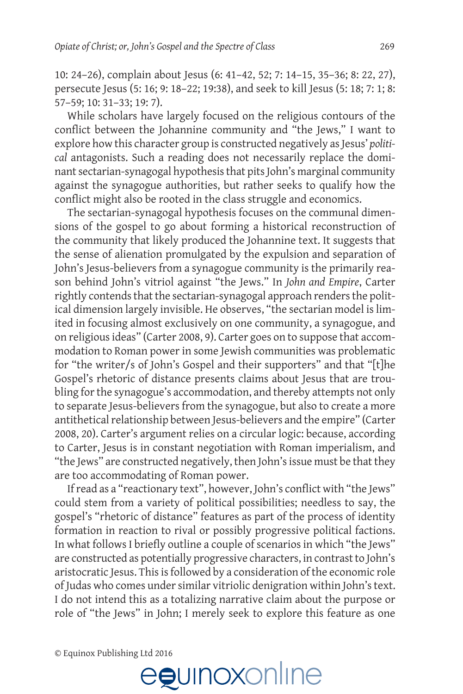10: 24–26), complain about Jesus (6: 41–42, 52; 7: 14–15, 35–36; 8: 22, 27), persecute Jesus (5: 16; 9: 18–22; 19:38), and seek to kill Jesus (5: 18; 7: 1; 8: 57–59; 10: 31–33; 19: 7).

While scholars have largely focused on the religious contours of the conflict between the Johannine community and "the Jews," I want to explore how this character group is constructed negatively as Jesus' *political* antagonists. Such a reading does not necessarily replace the dominant sectarian-synagogal hypothesis that pits John's marginal community against the synagogue authorities, but rather seeks to qualify how the conflict might also be rooted in the class struggle and economics.

The sectarian-synagogal hypothesis focuses on the communal dimensions of the gospel to go about forming a historical reconstruction of the community that likely produced the Johannine text. It suggests that the sense of alienation promulgated by the expulsion and separation of John's Jesus-believers from a synagogue community is the primarily reason behind John's vitriol against "the Jews." In *John and Empire*, Carter rightly contends that the sectarian-synagogal approach renders the political dimension largely invisible. He observes, "the sectarian model is limited in focusing almost exclusively on one community, a synagogue, and on religious ideas" (Carter 2008, 9). Carter goes on to suppose that accommodation to Roman power in some Jewish communities was problematic for "the writer/s of John's Gospel and their supporters" and that "[t]he Gospel's rhetoric of distance presents claims about Jesus that are troubling for the synagogue's accommodation, and thereby attempts not only to separate Jesus-believers from the synagogue, but also to create a more antithetical relationship between Jesus-believers and the empire" (Carter 2008, 20). Carter's argument relies on a circular logic: because, according to Carter, Jesus is in constant negotiation with Roman imperialism, and "the Jews" are constructed negatively, then John's issue must be that they are too accommodating of Roman power.

If read as a "reactionary text", however, John's conflict with "the Jews" could stem from a variety of political possibilities; needless to say, the gospel's "rhetoric of distance" features as part of the process of identity formation in reaction to rival or possibly progressive political factions. In what follows I briefly outline a couple of scenarios in which "the Jews" are constructed as potentially progressive characters, in contrast to John's aristocratic Jesus. This is followed by a consideration of the economic role of Judas who comes under similar vitriolic denigration within John's text. I do not intend this as a totalizing narrative claim about the purpose or role of "the Jews" in John; I merely seek to explore this feature as one

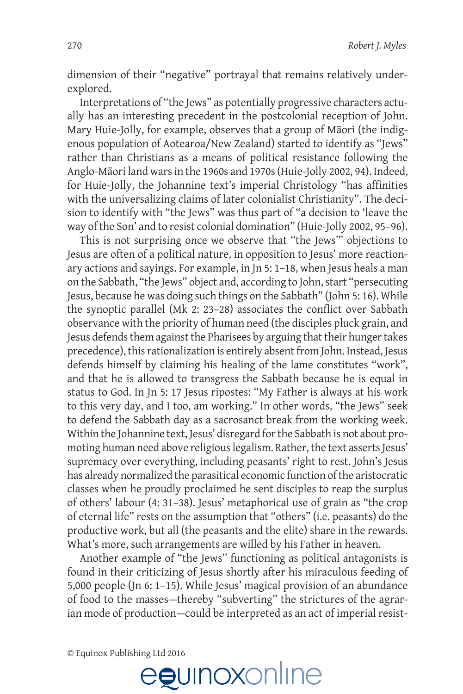dimension of their "negative" portrayal that remains relatively underexplored.

Interpretations of "the Jews" as potentially progressive characters actually has an interesting precedent in the postcolonial reception of John. Mary Huie-Jolly, for example, observes that a group of Māori (the indigenous population of Aotearoa/New Zealand) started to identify as "Jews" rather than Christians as a means of political resistance following the Anglo-Māori land wars in the 1960s and 1970s (Huie-Jolly 2002, 94). Indeed, for Huie-Jolly, the Johannine text's imperial Christology "has affinities with the universalizing claims of later colonialist Christianity". The decision to identify with "the Jews" was thus part of "a decision to 'leave the way of the Son' and to resist colonial domination" (Huie-Jolly 2002, 95–96).

This is not surprising once we observe that "the Jews'" objections to Jesus are often of a political nature, in opposition to Jesus' more reactionary actions and sayings. For example, in Jn 5: 1–18, when Jesus heals a man on the Sabbath, "the Jews" object and, according to John, start "persecuting Jesus, because he was doing such things on the Sabbath" (John 5: 16). While the synoptic parallel (Mk 2: 23–28) associates the conflict over Sabbath observance with the priority of human need (the disciples pluck grain, and Jesus defends them against the Pharisees by arguing that their hunger takes precedence), this rationalization is entirely absent from John. Instead, Jesus defends himself by claiming his healing of the lame constitutes "work", and that he is allowed to transgress the Sabbath because he is equal in status to God. In Jn 5: 17 Jesus ripostes: "My Father is always at his work to this very day, and I too, am working." In other words, "the Jews" seek to defend the Sabbath day as a sacrosanct break from the working week. Within the Johannine text, Jesus' disregard for the Sabbath is not about promoting human need above religious legalism. Rather, the text asserts Jesus' supremacy over everything, including peasants' right to rest. John's Jesus has already normalized the parasitical economic function of the aristocratic classes when he proudly proclaimed he sent disciples to reap the surplus of others' labour (4: 31–38). Jesus' metaphorical use of grain as "the crop of eternal life" rests on the assumption that "others" (i.e. peasants) do the productive work, but all (the peasants and the elite) share in the rewards. What's more, such arrangements are willed by his Father in heaven.

Another example of "the Jews" functioning as political antagonists is found in their criticizing of Jesus shortly after his miraculous feeding of 5,000 people (Jn 6: 1–15). While Jesus' magical provision of an abundance of food to the masses—thereby "subverting" the strictures of the agrarian mode of production—could be interpreted as an act of imperial resist-

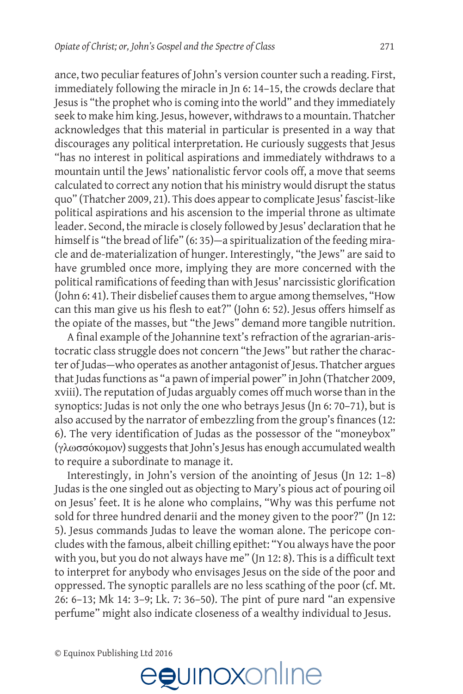ance, two peculiar features of John's version counter such a reading. First, immediately following the miracle in Jn 6: 14–15, the crowds declare that Jesus is "the prophet who is coming into the world" and they immediately seek to make him king. Jesus, however, withdraws to a mountain. Thatcher acknowledges that this material in particular is presented in a way that discourages any political interpretation. He curiously suggests that Jesus "has no interest in political aspirations and immediately withdraws to a mountain until the Jews' nationalistic fervor cools off, a move that seems calculated to correct any notion that his ministry would disrupt the status quo" (Thatcher 2009, 21). This does appear to complicate Jesus' fascist-like political aspirations and his ascension to the imperial throne as ultimate leader. Second, the miracle is closely followed by Jesus' declaration that he himself is "the bread of life" (6:35)—a spiritualization of the feeding miracle and de-materialization of hunger. Interestingly, "the Jews" are said to have grumbled once more, implying they are more concerned with the political ramifications of feeding than with Jesus' narcissistic glorification (John 6: 41). Their disbelief causes them to argue among themselves, "How can this man give us his flesh to eat?" (John 6: 52). Jesus offers himself as

the opiate of the masses, but "the Jews" demand more tangible nutrition. A final example of the Johannine text's refraction of the agrarian-aristocratic class struggle does not concern "the Jews" but rather the character of Judas—who operates as another antagonist of Jesus. Thatcher argues that Judas functions as "a pawn of imperial power" in John (Thatcher 2009, xviii). The reputation of Judas arguably comes off much worse than in the synoptics: Judas is not only the one who betrays Jesus (Jn 6: 70–71), but is also accused by the narrator of embezzling from the group's finances (12: 6). The very identification of Judas as the possessor of the "moneybox" (γλωσσόκομον) suggests that John's Jesus has enough accumulated wealth to require a subordinate to manage it.

Interestingly, in John's version of the anointing of Jesus (Jn 12: 1–8) Judas is the one singled out as objecting to Mary's pious act of pouring oil on Jesus' feet. It is he alone who complains, "Why was this perfume not sold for three hundred denarii and the money given to the poor?" (Jn 12: 5). Jesus commands Judas to leave the woman alone. The pericope concludes with the famous, albeit chilling epithet: "You always have the poor with you, but you do not always have me" (Jn 12: 8). This is a difficult text to interpret for anybody who envisages Jesus on the side of the poor and oppressed. The synoptic parallels are no less scathing of the poor (cf. Mt. 26: 6–13; Mk 14: 3–9; Lk. 7: 36–50). The pint of pure nard "an expensive perfume" might also indicate closeness of a wealthy individual to Jesus.

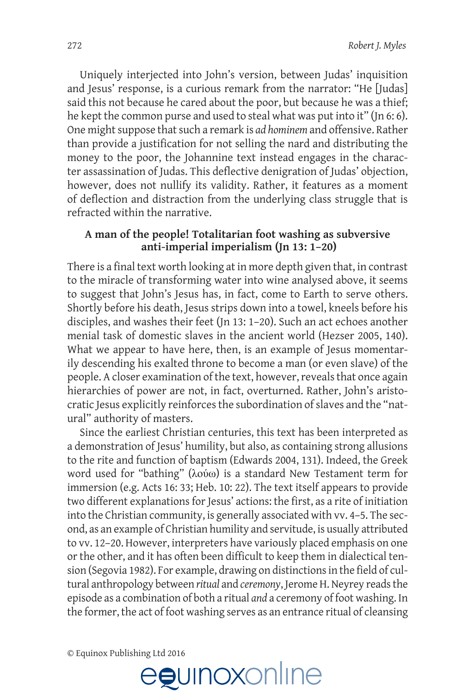Uniquely interjected into John's version, between Judas' inquisition and Jesus' response, is a curious remark from the narrator: "He [Judas] said this not because he cared about the poor, but because he was a thief; he kept the common purse and used to steal what was put into it" (Jn 6: 6). One might suppose that such a remark is *ad hominem* and offensive. Rather than provide a justification for not selling the nard and distributing the money to the poor, the Johannine text instead engages in the character assassination of Judas. This deflective denigration of Judas' objection, however, does not nullify its validity. Rather, it features as a moment of deflection and distraction from the underlying class struggle that is refracted within the narrative.

## **A man of the people! Totalitarian foot washing as subversive anti-imperial imperialism (Jn 13: 1–20)**

There is a final text worth looking at in more depth given that, in contrast to the miracle of transforming water into wine analysed above, it seems to suggest that John's Jesus has, in fact, come to Earth to serve others. Shortly before his death, Jesus strips down into a towel, kneels before his disciples, and washes their feet (Jn 13: 1–20). Such an act echoes another menial task of domestic slaves in the ancient world (Hezser 2005, 140). What we appear to have here, then, is an example of Jesus momentarily descending his exalted throne to become a man (or even slave) of the people. A closer examination of the text, however, reveals that once again hierarchies of power are not, in fact, overturned. Rather, John's aristocratic Jesus explicitly reinforces the subordination of slaves and the "natural" authority of masters.

Since the earliest Christian centuries, this text has been interpreted as a demonstration of Jesus' humility, but also, as containing strong allusions to the rite and function of baptism (Edwards 2004, 131). Indeed, the Greek word used for "bathing" (λούω) is a standard New Testament term for immersion (e.g. Acts 16: 33; Heb. 10: 22). The text itself appears to provide two different explanations for Jesus' actions: the first, as a rite of initiation into the Christian community, is generally associated with vv. 4–5. The second, as an example of Christian humility and servitude, is usually attributed to vv. 12–20. However, interpreters have variously placed emphasis on one or the other, and it has often been difficult to keep them in dialectical tension (Segovia 1982). For example, drawing on distinctions in the field of cultural anthropology between *ritual* and *ceremony*, Jerome H. Neyrey reads the episode as a combination of both a ritual *and* a ceremony of foot washing. In the former, the act of foot washing serves as an entrance ritual of cleansing

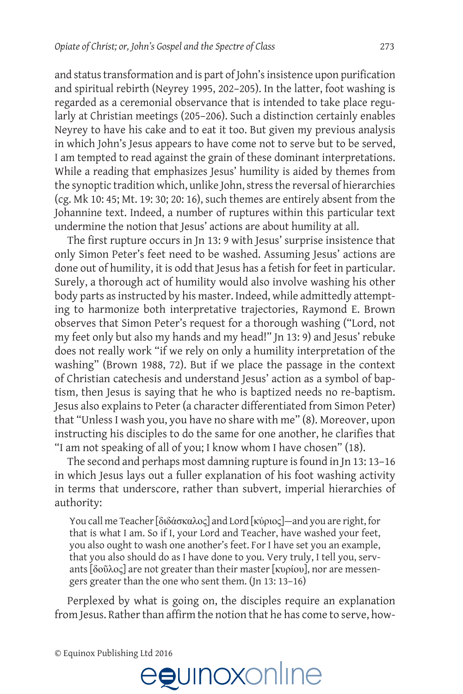and status transformation and is part of John's insistence upon purification and spiritual rebirth (Neyrey 1995, 202–205). In the latter, foot washing is regarded as a ceremonial observance that is intended to take place regularly at Christian meetings (205–206). Such a distinction certainly enables Neyrey to have his cake and to eat it too. But given my previous analysis in which John's Jesus appears to have come not to serve but to be served, I am tempted to read against the grain of these dominant interpretations. While a reading that emphasizes Jesus' humility is aided by themes from the synoptic tradition which, unlike John, stress the reversal of hierarchies (cg. Mk 10: 45; Mt. 19: 30; 20: 16), such themes are entirely absent from the Johannine text. Indeed, a number of ruptures within this particular text undermine the notion that Jesus' actions are about humility at all.

The first rupture occurs in Jn 13: 9 with Jesus' surprise insistence that only Simon Peter's feet need to be washed. Assuming Jesus' actions are done out of humility, it is odd that Jesus has a fetish for feet in particular. Surely, a thorough act of humility would also involve washing his other body parts as instructed by his master. Indeed, while admittedly attempting to harmonize both interpretative trajectories, Raymond E. Brown observes that Simon Peter's request for a thorough washing ("Lord, not my feet only but also my hands and my head!" Jn 13: 9) and Jesus' rebuke does not really work "if we rely on only a humility interpretation of the washing" (Brown 1988, 72). But if we place the passage in the context of Christian catechesis and understand Jesus' action as a symbol of baptism, then Jesus is saying that he who is baptized needs no re-baptism. Jesus also explains to Peter (a character differentiated from Simon Peter) that "Unless I wash you, you have no share with me" (8). Moreover, upon instructing his disciples to do the same for one another, he clarifies that "I am not speaking of all of you; I know whom I have chosen" (18).

The second and perhaps most damning rupture is found in Jn 13: 13–16 in which Jesus lays out a fuller explanation of his foot washing activity in terms that underscore, rather than subvert, imperial hierarchies of authority:

You call me Teacher [διδάσκαλος] and Lord [κύριος]—and you are right, for that is what I am. So if I, your Lord and Teacher, have washed your feet, you also ought to wash one another's feet. For I have set you an example, that you also should do as I have done to you. Very truly, I tell you, servants [δοῦλος] are not greater than their master [κυρίου], nor are messengers greater than the one who sent them. (Jn 13: 13–16)

Perplexed by what is going on, the disciples require an explanation from Jesus. Rather than affirm the notion that he has come to serve, how-

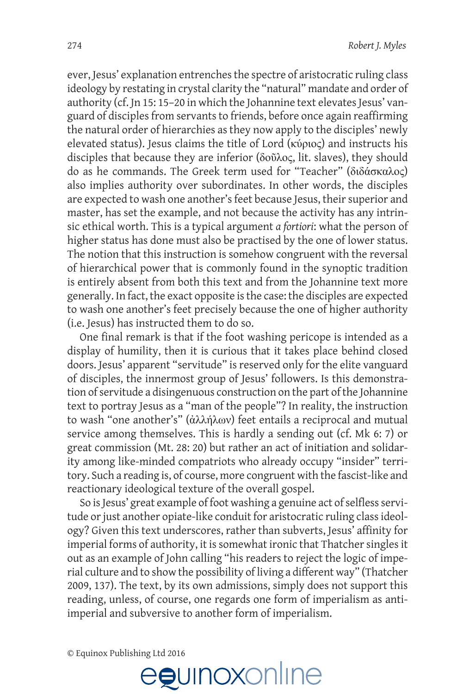ever, Jesus' explanation entrenches the spectre of aristocratic ruling class ideology by restating in crystal clarity the "natural" mandate and order of authority (cf. Jn 15: 15–20 in which the Johannine text elevates Jesus' vanguard of disciples from servants to friends, before once again reaffirming the natural order of hierarchies as they now apply to the disciples' newly elevated status). Jesus claims the title of Lord (κύριος) and instructs his disciples that because they are inferior (δοῦλος, lit. slaves), they should do as he commands. The Greek term used for "Teacher" (διδάσκαλος) also implies authority over subordinates. In other words, the disciples are expected to wash one another's feet because Jesus, their superior and master, has set the example, and not because the activity has any intrinsic ethical worth. This is a typical argument *a fortiori*: what the person of higher status has done must also be practised by the one of lower status. The notion that this instruction is somehow congruent with the reversal of hierarchical power that is commonly found in the synoptic tradition is entirely absent from both this text and from the Johannine text more generally. In fact, the exact opposite is the case: the disciples are expected to wash one another's feet precisely because the one of higher authority (i.e. Jesus) has instructed them to do so.

One final remark is that if the foot washing pericope is intended as a display of humility, then it is curious that it takes place behind closed doors. Jesus' apparent "servitude" is reserved only for the elite vanguard of disciples, the innermost group of Jesus' followers. Is this demonstration of servitude a disingenuous construction on the part of the Johannine text to portray Jesus as a "man of the people"? In reality, the instruction to wash "one another's" (ἀλλήλων) feet entails a reciprocal and mutual service among themselves. This is hardly a sending out (cf. Mk 6: 7) or great commission (Mt. 28: 20) but rather an act of initiation and solidarity among like-minded compatriots who already occupy "insider" territory. Such a reading is, of course, more congruent with the fascist-like and reactionary ideological texture of the overall gospel.

So is Jesus' great example of foot washing a genuine act of selfless servitude or just another opiate-like conduit for aristocratic ruling class ideology? Given this text underscores, rather than subverts, Jesus' affinity for imperial forms of authority, it is somewhat ironic that Thatcher singles it out as an example of John calling "his readers to reject the logic of imperial culture and to show the possibility of living a different way" (Thatcher 2009, 137). The text, by its own admissions, simply does not support this reading, unless, of course, one regards one form of imperialism as antiimperial and subversive to another form of imperialism.

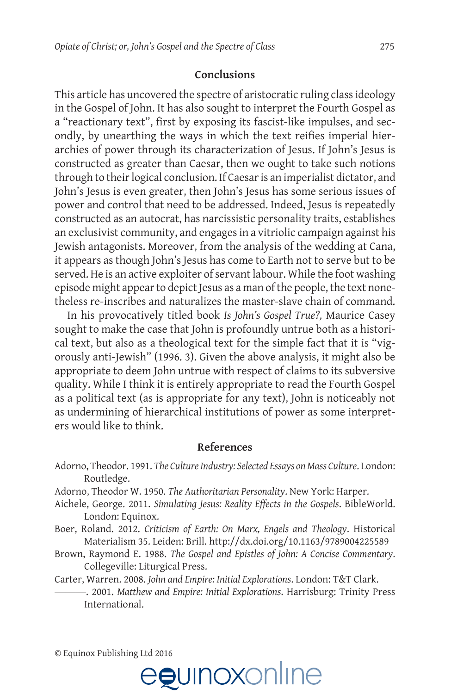#### **Conclusions**

This article has uncovered the spectre of aristocratic ruling class ideology in the Gospel of John. It has also sought to interpret the Fourth Gospel as a "reactionary text", first by exposing its fascist-like impulses, and secondly, by unearthing the ways in which the text reifies imperial hierarchies of power through its characterization of Jesus. If John's Jesus is constructed as greater than Caesar, then we ought to take such notions through to their logical conclusion. If Caesar is an imperialist dictator, and John's Jesus is even greater, then John's Jesus has some serious issues of power and control that need to be addressed. Indeed, Jesus is repeatedly constructed as an autocrat, has narcissistic personality traits, establishes an exclusivist community, and engages in a vitriolic campaign against his Jewish antagonists. Moreover, from the analysis of the wedding at Cana, it appears as though John's Jesus has come to Earth not to serve but to be served. He is an active exploiter of servant labour. While the foot washing episode might appear to depict Jesus as a man of the people, the text nonetheless re-inscribes and naturalizes the master-slave chain of command.

In his provocatively titled book *Is John's Gospel True?,* Maurice Casey sought to make the case that John is profoundly untrue both as a historical text, but also as a theological text for the simple fact that it is "vigorously anti-Jewish" (1996. 3). Given the above analysis, it might also be appropriate to deem John untrue with respect of claims to its subversive quality. While I think it is entirely appropriate to read the Fourth Gospel as a political text (as is appropriate for any text), John is noticeably not as undermining of hierarchical institutions of power as some interpreters would like to think.

#### **References**

- Adorno, Theodor. 1991. *The Culture Industry: Selected Essays on Mass Culture*. London: Routledge.
- Adorno, Theodor W. 1950. *The Authoritarian Personality*. New York: Harper.
- Aichele, George. 2011. *Simulating Jesus: Reality Effects in the Gospels*. BibleWorld. London: Equinox.
- Boer, Roland. 2012. *Criticism of Earth: On Marx, Engels and Theology*. Historical Materialism 35. Leiden: Brill. <http://dx.doi.org/10.1163/9789004225589>
- Brown, Raymond E. 1988. *The Gospel and Epistles of John: A Concise Commentary*. Collegeville: Liturgical Press.

Carter, Warren. 2008. *John and Empire: Initial Explorations*. London: T&T Clark.

———. 2001. *Matthew and Empire: Initial Explorations*. Harrisburg: Trinity Press International.

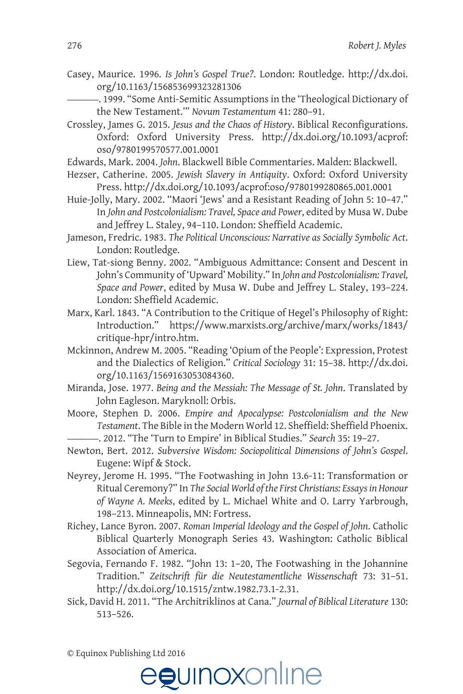- Casey, Maurice. 1996. *Is John's Gospel True?*. London: Routledge. [http://dx.doi.](http://dx.doi.org/10.1163/156853699323281306) [org/10.1163/156853699323281306](http://dx.doi.org/10.1163/156853699323281306)
	- -, 1999. "Some Anti-Semitic Assumptions in the 'Theological Dictionary of the New Testament.'" *Novum Testamentum* 41: 280–91.
- Crossley, James G. 2015. *Jesus and the Chaos of History*. Biblical Reconfigurations. Oxford: Oxford University Press. [http://dx.doi.org/10.1093/acprof:](http://dx.doi.org/10.1093/acprof:oso/9780199570577.001.0001) [oso/9780199570577.001.0001](http://dx.doi.org/10.1093/acprof:oso/9780199570577.001.0001)
- Edwards, Mark. 2004. *John*. Blackwell Bible Commentaries. Malden: Blackwell.
- Hezser, Catherine. 2005. *Jewish Slavery in Antiquity*. Oxford: Oxford University Press. <http://dx.doi.org/10.1093/acprof:oso/9780199280865.001.0001>
- Huie-Jolly, Mary. 2002. "Maori 'Jews' and a Resistant Reading of John 5: 10–47." In *John and Postcolonialism: Travel, Space and Power*, edited by Musa W. Dube and Jeffrey L. Staley, 94–110. London: Sheffield Academic.
- Jameson, Fredric. 1983. *The Political Unconscious: Narrative as Socially Symbolic Act*. London: Routledge.
- Liew, Tat-siong Benny. 2002. "Ambiguous Admittance: Consent and Descent in John's Community of 'Upward' Mobility." In *John and Postcolonialism: Travel, Space and Power*, edited by Musa W. Dube and Jeffrey L. Staley, 193–224. London: Sheffield Academic.
- Marx, Karl. 1843. "A Contribution to the Critique of Hegel's Philosophy of Right: Introduction." [https://www.marxists.org/archive/marx/works/1843/](https://www.marxists.org/archive/marx/works/1843/critique-hpr/intro.htm) [critique-hpr/intro.htm.](https://www.marxists.org/archive/marx/works/1843/critique-hpr/intro.htm)
- Mckinnon, Andrew M. 2005. "Reading 'Opium of the People': Expression, Protest and the Dialectics of Religion." *Critical Sociology* 31: 15–38. [http://dx.doi.](http://dx.doi.org/10.1163/1569163053084360) [org/10.1163/1569163053084360](http://dx.doi.org/10.1163/1569163053084360).
- Miranda, Jose. 1977. *Being and the Messiah: The Message of St. John*. Translated by John Eagleson. Maryknoll: Orbis.
- Moore, Stephen D. 2006. *Empire and Apocalypse: Postcolonialism and the New Testament*. The Bible in the Modern World 12. Sheffield: Sheffield Phoenix. ———. 2012. "The 'Turn to Empire' in Biblical Studies." *Search* 35: 19–27.
- Newton, Bert. 2012. *Subversive Wisdom: Sociopolitical Dimensions of John's Gospel*. Eugene: Wipf & Stock.
- Neyrey, Jerome H. 1995. "The Footwashing in John 13.6-11: Transformation or Ritual Ceremony?" In *The Social World of the First Christians: Essays in Honour of Wayne A. Meeks*, edited by L. Michael White and O. Larry Yarbrough, 198–213. Minneapolis, MN: Fortress.
- Richey, Lance Byron. 2007. *Roman Imperial Ideology and the Gospel of John*. Catholic Biblical Quarterly Monograph Series 43. Washington: Catholic Biblical Association of America.
- Segovia, Fernando F. 1982. "John 13: 1–20, The Footwashing in the Johannine Tradition." *Zeitschrift für die Neutestamentliche Wissenschaft* 73: 31–51. <http://dx.doi.org/10.1515/zntw.1982.73.1-2.31>.
- Sick, David H. 2011. "The Architriklinos at Cana." *Journal of Biblical Literature* 130: 513–526.